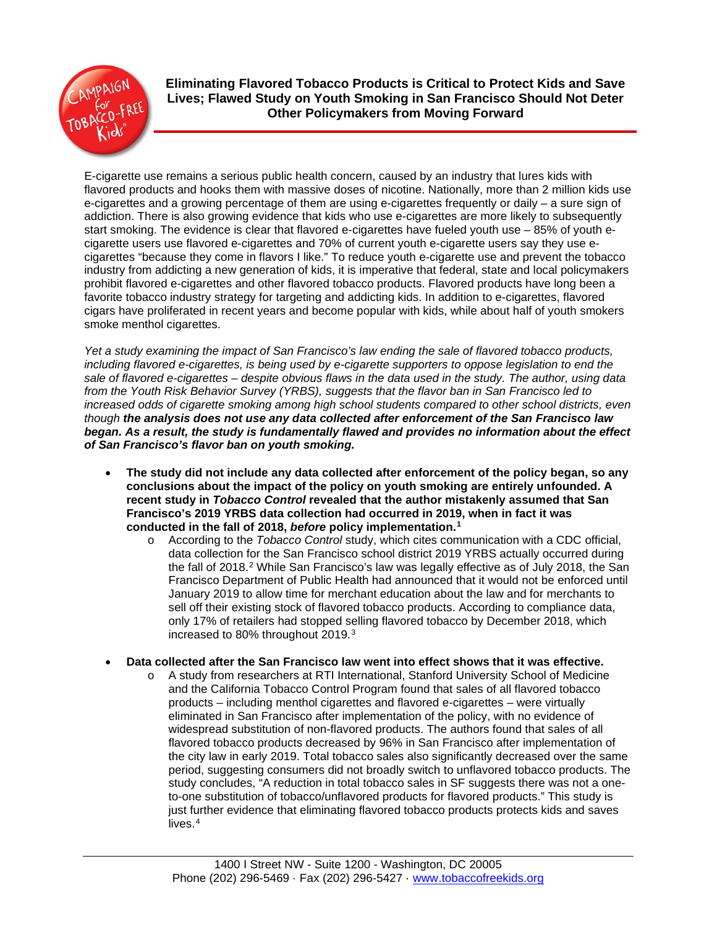

**Eliminating Flavored Tobacco Products is Critical to Protect Kids and Save Lives; Flawed Study on Youth Smoking in San Francisco Should Not Deter Other Policymakers from Moving Forward**

E-cigarette use remains a serious public health concern, caused by an industry that lures kids with flavored products and hooks them with massive doses of nicotine. Nationally, more than 2 million kids use e-cigarettes and a growing percentage of them are using e-cigarettes frequently or daily – a sure sign of addiction. There is also growing evidence that kids who use e-cigarettes are more likely to subsequently start smoking. The evidence is clear that flavored e-cigarettes have fueled youth use – 85% of youth ecigarette users use flavored e-cigarettes and 70% of current youth e-cigarette users say they use ecigarettes "because they come in flavors I like." To reduce youth e-cigarette use and prevent the tobacco industry from addicting a new generation of kids, it is imperative that federal, state and local policymakers prohibit flavored e-cigarettes and other flavored tobacco products. Flavored products have long been a favorite tobacco industry strategy for targeting and addicting kids. In addition to e-cigarettes, flavored cigars have proliferated in recent years and become popular with kids, while about half of youth smokers smoke menthol cigarettes.

*Yet a study examining the impact of San Francisco's law ending the sale of flavored tobacco products, including flavored e-cigarettes, is being used by e-cigarette supporters to oppose legislation to end the sale of flavored e-cigarettes – despite obvious flaws in the data used in the study. The author, using data from the Youth Risk Behavior Survey (YRBS), suggests that the flavor ban in San Francisco led to increased odds of cigarette smoking among high school students compared to other school districts, even though the analysis does not use any data collected after enforcement of the San Francisco law began. As a result, the study is fundamentally flawed and provides no information about the effect of San Francisco's flavor ban on youth smoking.*

- **The study did not include any data collected after enforcement of the policy began, so any conclusions about the impact of the policy on youth smoking are entirely unfounded. A recent study in** *Tobacco Control* **revealed that the author mistakenly assumed that San Francisco's 2019 YRBS data collection had occurred in 2019, when in fact it was conducted in the fall of 2018,** *before* **policy implementation.[1](#page-1-0)**
	- o According to the *Tobacco Control* study, which cites communication with a CDC official, data collection for the San Francisco school district 2019 YRBS actually occurred during the fall of [2](#page-1-1)018.<sup>2</sup> While San Francisco's law was legally effective as of July 2018, the San Francisco Department of Public Health had announced that it would not be enforced until January 2019 to allow time for merchant education about the law and for merchants to sell off their existing stock of flavored tobacco products. According to compliance data, only 17% of retailers had stopped selling flavored tobacco by December 2018, which increased to 80% throughout 2019.[3](#page-1-2)
- **Data collected after the San Francisco law went into effect shows that it was effective.**
	- o A study from researchers at RTI International, Stanford University School of Medicine and the California Tobacco Control Program found that sales of all flavored tobacco products – including menthol cigarettes and flavored e-cigarettes – were virtually eliminated in San Francisco after implementation of the policy, with no evidence of widespread substitution of non-flavored products. The authors found that sales of all flavored tobacco products decreased by 96% in San Francisco after implementation of the city law in early 2019. Total tobacco sales also significantly decreased over the same period, suggesting consumers did not broadly switch to unflavored tobacco products. The study concludes, "A reduction in total tobacco sales in SF suggests there was not a oneto-one substitution of tobacco/unflavored products for flavored products." This study is just further evidence that eliminating flavored tobacco products protects kids and saves lives.[4](#page-1-3)